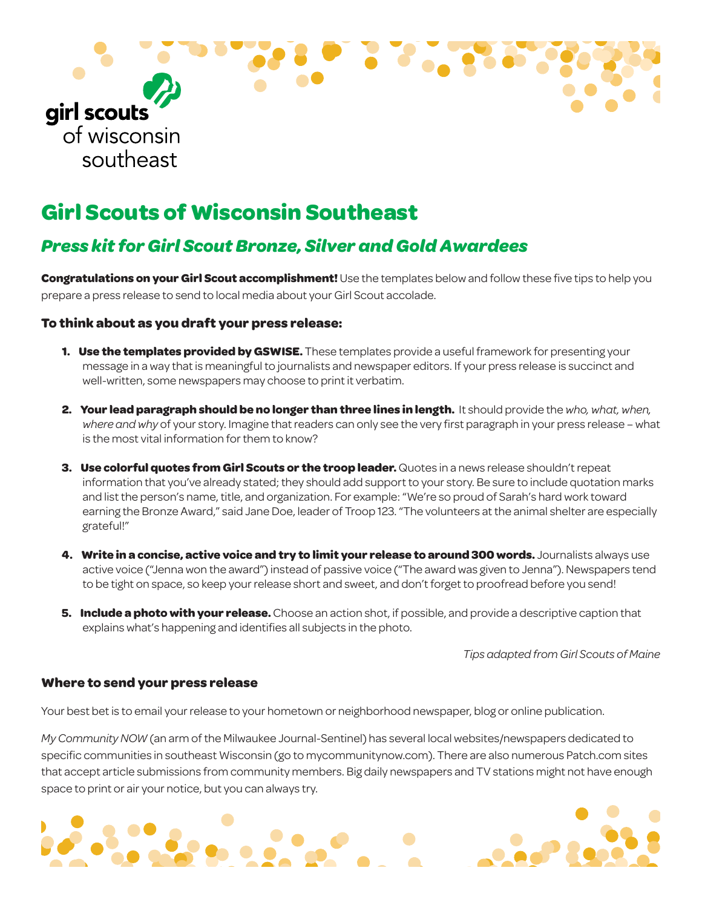

# **Girl Scouts of Wisconsin Southeast**

## *Press kit for Girl Scout Bronze, Silver and Gold Awardees*

**Congratulations on your Girl Scout accomplishment!** Use the templates below and follow these five tips to help you prepare a press release to send to local media about your Girl Scout accolade.

### **To think about as you draft your press release:**

- **1. Use the templates provided by GSWISE.** These templates provide a useful framework for presenting your message in a way that is meaningful to journalists and newspaper editors. If your press release is succinct and well-written, some newspapers may choose to print it verbatim.
- **2. Your lead paragraph should be no longer than three lines in length.** It should provide the *who, what, when, where and why* of your story. Imagine that readers can only see the very first paragraph in your press release – what is the most vital information for them to know?
- **3. Use colorful quotes from Girl Scouts or the troop leader.** Quotes in a news release shouldn't repeat information that you've already stated; they should add support to your story. Be sure to include quotation marks and list the person's name, title, and organization. For example: "We're so proud of Sarah's hard work toward earning the Bronze Award," said Jane Doe, leader of Troop 123. "The volunteers at the animal shelter are especially grateful!"
- **4. Write in a concise, active voice and try to limit your release to around 300 words.** Journalists always use active voice ("Jenna won the award") instead of passive voice ("The award was given to Jenna"). Newspapers tend to be tight on space, so keep your release short and sweet, and don't forget to proofread before you send!
- **5. Include a photo with your release.** Choose an action shot, if possible, and provide a descriptive caption that explains what's happening and identifies all subjects in the photo.

*Tips adapted from Girl Scouts of Maine*

### **Where to send your press release**

Your best bet is to email your release to your hometown or neighborhood newspaper, blog or online publication.

*My Community NOW* (an arm of the Milwaukee Journal-Sentinel) has several local websites/newspapers dedicated to specific communities in southeast Wisconsin (go to mycommunitynow.com). There are also numerous Patch.com sites that accept article submissions from community members. Big daily newspapers and TV stations might not have enough space to print or air your notice, but you can always try.

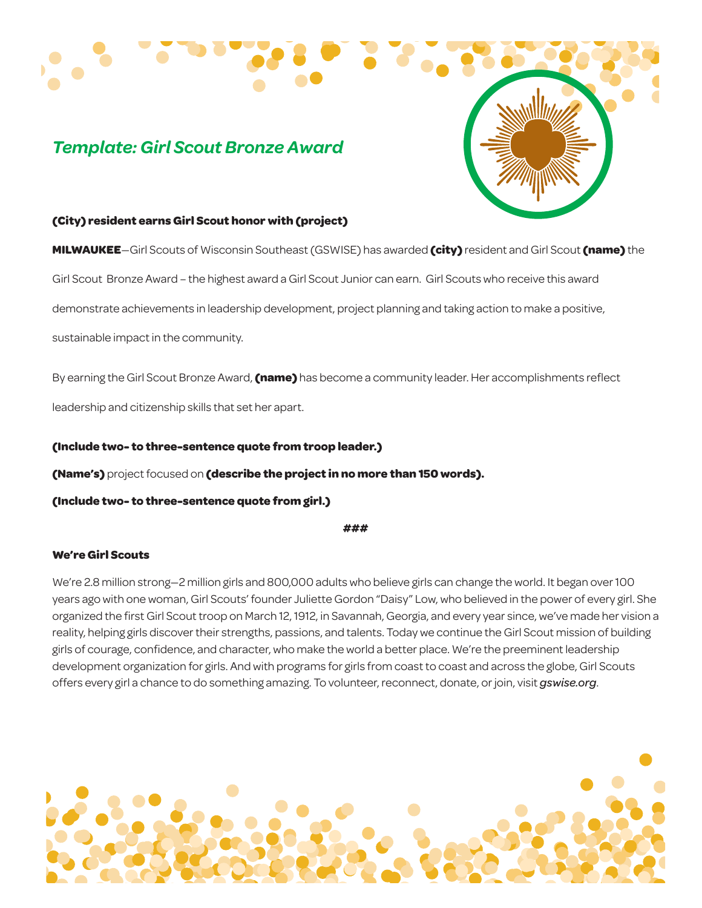# *Template: Girl Scout Bronze Award*



#### **(City) resident earns Girl Scout honor with (project)**

**MILWAUKEE**—Girl Scouts of Wisconsin Southeast (GSWISE) has awarded **(city)** resident and Girl Scout **(name)** the

Girl Scout Bronze Award – the highest award a Girl Scout Junior can earn. Girl Scouts who receive this award

demonstrate achievements in leadership development, project planning and taking action to make a positive,

sustainable impact in the community.

By earning the Girl Scout Bronze Award, **(name)** has become a community leader. Her accomplishments reflect

leadership and citizenship skills that set her apart.

**(Include two- to three-sentence quote from troop leader.)** 

**(Name's)** project focused on **(describe the project in no more than 150 words).** 

**(Include two- to three-sentence quote from girl.)** 

**###** 

### **We're Girl Scouts**

We're 2.8 million strong—2 million girls and 800,000 adults who believe girls can change the world. It began over 100 years ago with one woman, Girl Scouts' founder Juliette Gordon "Daisy" Low, who believed in the power of every girl. She organized the first Girl Scout troop on March 12, 1912, in Savannah, Georgia, and every year since, we've made her vision a reality, helping girls discover their strengths, passions, and talents. Today we continue the Girl Scout mission of building girls of courage, confidence, and character, who make the world a better place. We're the preeminent leadership development organization for girls. And with programs for girls from coast to coast and across the globe, Girl Scouts offers every girl a chance to do something amazing. To volunteer, reconnect, donate, or join, visit *gswise.org*.

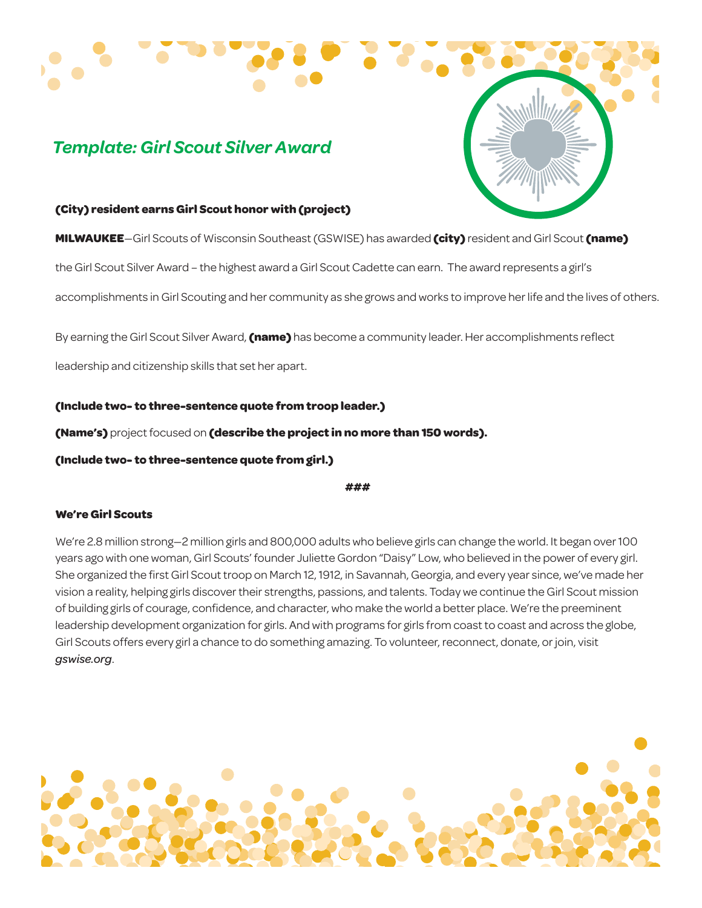# *Template: Girl Scout Silver Award*

#### **(City) resident earns Girl Scout honor with (project)**

**MILWAUKEE**—Girl Scouts of Wisconsin Southeast (GSWISE) has awarded **(city)** resident and Girl Scout **(name)** 

the Girl Scout Silver Award – the highest award a Girl Scout Cadette can earn. The award represents a girl's

accomplishments in Girl Scouting and her community as she grows and works to improve her life and the lives of others.

By earning the Girl Scout Silver Award, **(name)** has become a community leader. Her accomplishments reflect

leadership and citizenship skills that set her apart.

**(Include two- to three-sentence quote from troop leader.)** 

**(Name's)** project focused on **(describe the project in no more than 150 words).** 

**(Include two- to three-sentence quote from girl.)** 

**###** 

### **We're Girl Scouts**

We're 2.8 million strong—2 million girls and 800,000 adults who believe girls can change the world. It began over 100 years ago with one woman, Girl Scouts' founder Juliette Gordon "Daisy" Low, who believed in the power of every girl. She organized the first Girl Scout troop on March 12, 1912, in Savannah, Georgia, and every year since, we've made her vision a reality, helping girls discover their strengths, passions, and talents. Today we continue the Girl Scout mission of building girls of courage, confidence, and character, who make the world a better place. We're the preeminent leadership development organization for girls. And with programs for girls from coast to coast and across the globe, Girl Scouts offers every girl a chance to do something amazing. To volunteer, reconnect, donate, or join, visit *gswise.org*.